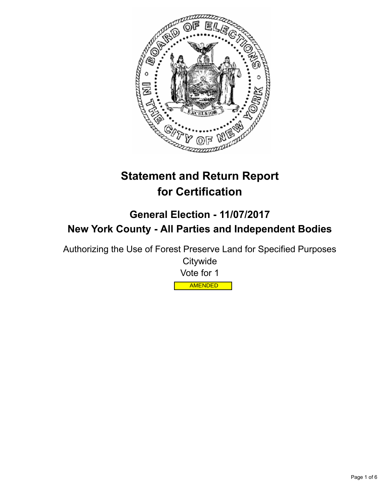

# **Statement and Return Report for Certification**

## **General Election - 11/07/2017 New York County - All Parties and Independent Bodies**

Authorizing the Use of Forest Preserve Land for Specified Purposes

**Citywide** Vote for 1 AMENDED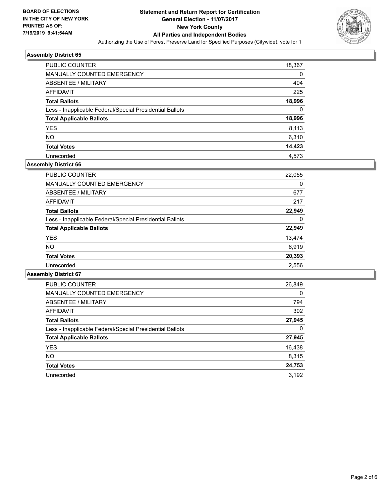

| <b>PUBLIC COUNTER</b>                                    | 18,367 |
|----------------------------------------------------------|--------|
| MANUALLY COUNTED EMERGENCY                               | 0      |
| ABSENTEE / MILITARY                                      | 404    |
| AFFIDAVIT                                                | 225    |
| <b>Total Ballots</b>                                     | 18,996 |
| Less - Inapplicable Federal/Special Presidential Ballots | 0      |
| <b>Total Applicable Ballots</b>                          | 18,996 |
| <b>YES</b>                                               | 8.113  |
| <b>NO</b>                                                | 6,310  |
| <b>Total Votes</b>                                       | 14,423 |
| Unrecorded                                               | 4,573  |

#### **Assembly District 66**

| <b>PUBLIC COUNTER</b>                                    | 22,055 |
|----------------------------------------------------------|--------|
| <b>MANUALLY COUNTED EMERGENCY</b>                        | 0      |
| ABSENTEE / MILITARY                                      | 677    |
| AFFIDAVIT                                                | 217    |
| <b>Total Ballots</b>                                     | 22,949 |
| Less - Inapplicable Federal/Special Presidential Ballots | 0      |
| <b>Total Applicable Ballots</b>                          | 22,949 |
| <b>YES</b>                                               | 13,474 |
| <b>NO</b>                                                | 6,919  |
| <b>Total Votes</b>                                       | 20,393 |
| Unrecorded                                               | 2,556  |

| <b>PUBLIC COUNTER</b>                                    | 26,849   |
|----------------------------------------------------------|----------|
| <b>MANUALLY COUNTED EMERGENCY</b>                        | $\Omega$ |
| ABSENTEE / MILITARY                                      | 794      |
| <b>AFFIDAVIT</b>                                         | 302      |
| <b>Total Ballots</b>                                     | 27,945   |
| Less - Inapplicable Federal/Special Presidential Ballots | 0        |
| <b>Total Applicable Ballots</b>                          | 27,945   |
| <b>YES</b>                                               | 16,438   |
| NO.                                                      | 8,315    |
| <b>Total Votes</b>                                       | 24,753   |
| Unrecorded                                               | 3.192    |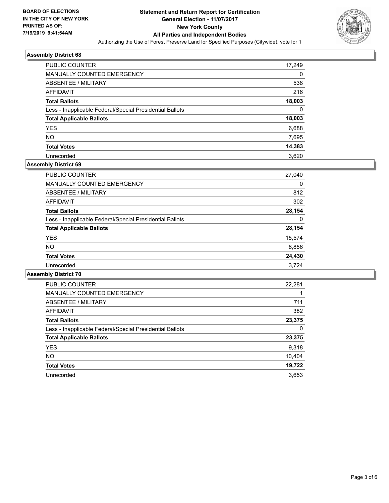

| <b>PUBLIC COUNTER</b>                                    | 17,249 |
|----------------------------------------------------------|--------|
| <b>MANUALLY COUNTED EMERGENCY</b>                        | 0      |
| ABSENTEE / MILITARY                                      | 538    |
| AFFIDAVIT                                                | 216    |
| <b>Total Ballots</b>                                     | 18,003 |
| Less - Inapplicable Federal/Special Presidential Ballots | 0      |
| <b>Total Applicable Ballots</b>                          | 18,003 |
| <b>YES</b>                                               | 6,688  |
| <b>NO</b>                                                | 7,695  |
| <b>Total Votes</b>                                       | 14,383 |
| Unrecorded                                               | 3.620  |

## **Assembly District 69**

| PUBLIC COUNTER                                           | 27,040 |
|----------------------------------------------------------|--------|
| <b>MANUALLY COUNTED EMERGENCY</b>                        | 0      |
| ABSENTEE / MILITARY                                      | 812    |
| AFFIDAVIT                                                | 302    |
| <b>Total Ballots</b>                                     | 28,154 |
| Less - Inapplicable Federal/Special Presidential Ballots | 0      |
| <b>Total Applicable Ballots</b>                          | 28,154 |
| <b>YES</b>                                               | 15,574 |
| NO.                                                      | 8,856  |
| <b>Total Votes</b>                                       | 24,430 |
| Unrecorded                                               | 3.724  |

| <b>PUBLIC COUNTER</b>                                    | 22,281 |
|----------------------------------------------------------|--------|
| MANUALLY COUNTED EMERGENCY                               |        |
| ABSENTEE / MILITARY                                      | 711    |
| AFFIDAVIT                                                | 382    |
| <b>Total Ballots</b>                                     | 23,375 |
| Less - Inapplicable Federal/Special Presidential Ballots | 0      |
| <b>Total Applicable Ballots</b>                          | 23,375 |
| <b>YES</b>                                               | 9,318  |
| NO.                                                      | 10,404 |
| <b>Total Votes</b>                                       | 19,722 |
| Unrecorded                                               | 3.653  |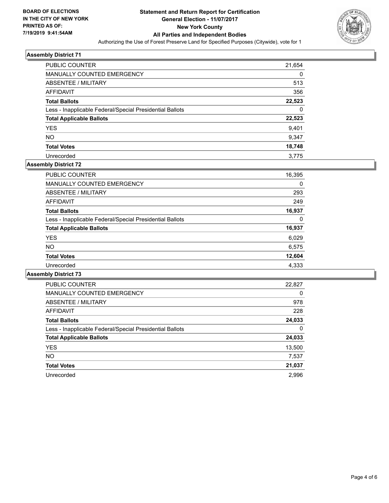

| <b>PUBLIC COUNTER</b>                                    | 21,654   |
|----------------------------------------------------------|----------|
| MANUALLY COUNTED EMERGENCY                               | $\Omega$ |
| ABSENTEE / MILITARY                                      | 513      |
| AFFIDAVIT                                                | 356      |
| <b>Total Ballots</b>                                     | 22,523   |
| Less - Inapplicable Federal/Special Presidential Ballots | 0        |
| <b>Total Applicable Ballots</b>                          | 22,523   |
| <b>YES</b>                                               | 9,401    |
| <b>NO</b>                                                | 9,347    |
| <b>Total Votes</b>                                       | 18,748   |
| Unrecorded                                               | 3.775    |

## **Assembly District 72**

| <b>PUBLIC COUNTER</b>                                    | 16,395 |
|----------------------------------------------------------|--------|
| <b>MANUALLY COUNTED EMERGENCY</b>                        | 0      |
| ABSENTEE / MILITARY                                      | 293    |
| AFFIDAVIT                                                | 249    |
| <b>Total Ballots</b>                                     | 16,937 |
| Less - Inapplicable Federal/Special Presidential Ballots | 0      |
| <b>Total Applicable Ballots</b>                          | 16,937 |
| <b>YES</b>                                               | 6,029  |
| <b>NO</b>                                                | 6,575  |
| <b>Total Votes</b>                                       | 12,604 |
| Unrecorded                                               | 4,333  |

| <b>PUBLIC COUNTER</b>                                    | 22,827   |
|----------------------------------------------------------|----------|
| <b>MANUALLY COUNTED EMERGENCY</b>                        | $\Omega$ |
| ABSENTEE / MILITARY                                      | 978      |
| AFFIDAVIT                                                | 228      |
| <b>Total Ballots</b>                                     | 24,033   |
| Less - Inapplicable Federal/Special Presidential Ballots | 0        |
| <b>Total Applicable Ballots</b>                          | 24,033   |
| <b>YES</b>                                               | 13,500   |
| <b>NO</b>                                                | 7,537    |
| <b>Total Votes</b>                                       | 21,037   |
| Unrecorded                                               | 2.996    |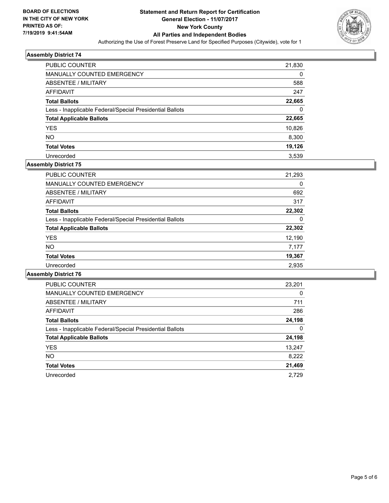

| <b>PUBLIC COUNTER</b>                                    | 21,830 |
|----------------------------------------------------------|--------|
| MANUALLY COUNTED EMERGENCY                               | 0      |
| <b>ABSENTEE / MILITARY</b>                               | 588    |
| AFFIDAVIT                                                | 247    |
| <b>Total Ballots</b>                                     | 22,665 |
| Less - Inapplicable Federal/Special Presidential Ballots | 0      |
| <b>Total Applicable Ballots</b>                          | 22,665 |
| <b>YES</b>                                               | 10,826 |
| <b>NO</b>                                                | 8,300  |
| <b>Total Votes</b>                                       | 19,126 |
| Unrecorded                                               | 3.539  |

## **Assembly District 75**

| <b>PUBLIC COUNTER</b>                                    | 21,293 |
|----------------------------------------------------------|--------|
| <b>MANUALLY COUNTED EMERGENCY</b>                        | 0      |
| ABSENTEE / MILITARY                                      | 692    |
| AFFIDAVIT                                                | 317    |
| <b>Total Ballots</b>                                     | 22,302 |
| Less - Inapplicable Federal/Special Presidential Ballots | 0      |
| <b>Total Applicable Ballots</b>                          | 22,302 |
| <b>YES</b>                                               | 12,190 |
| NO.                                                      | 7,177  |
| <b>Total Votes</b>                                       | 19,367 |
| Unrecorded                                               | 2.935  |

| <b>PUBLIC COUNTER</b>                                    | 23,201   |
|----------------------------------------------------------|----------|
| <b>MANUALLY COUNTED EMERGENCY</b>                        | $\Omega$ |
| ABSENTEE / MILITARY                                      | 711      |
| AFFIDAVIT                                                | 286      |
| <b>Total Ballots</b>                                     | 24,198   |
| Less - Inapplicable Federal/Special Presidential Ballots | 0        |
| <b>Total Applicable Ballots</b>                          | 24,198   |
| <b>YES</b>                                               | 13,247   |
| <b>NO</b>                                                | 8,222    |
| <b>Total Votes</b>                                       | 21,469   |
| Unrecorded                                               | 2.729    |